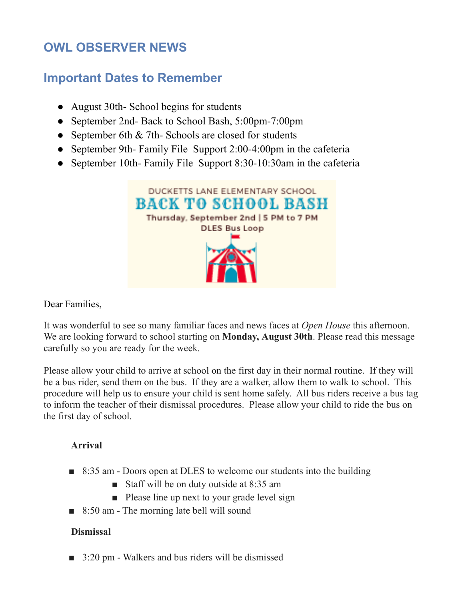## **OWL OBSERVER NEWS**

## **Important Dates to Remember**

- August 30th- School begins for students
- September 2nd- Back to School Bash, 5:00pm-7:00pm
- September 6th & 7th- Schools are closed for students
- September 9th- Family File Support 2:00-4:00pm in the cafeteria
- September 10th- Family File Support 8:30-10:30am in the cafeteria



Dear Families,

It was wonderful to see so many familiar faces and news faces at *Open House* this afternoon. We are looking forward to school starting on **Monday, August 30th**. Please read this message carefully so you are ready for the week.

Please allow your child to arrive at school on the first day in their normal routine. If they will be a bus rider, send them on the bus. If they are a walker, allow them to walk to school. This procedure will help us to ensure your child is sent home safely. All bus riders receive a bus tag to inform the teacher of their dismissal procedures. Please allow your child to ride the bus on the first day of school.

## **Arrival**

- 8:35 am Doors open at DLES to welcome our students into the building
	- Staff will be on duty outside at 8:35 am
	- Please line up next to your grade level sign
- 8:50 am The morning late bell will sound

## **Dismissal**

■ 3:20 pm - Walkers and bus riders will be dismissed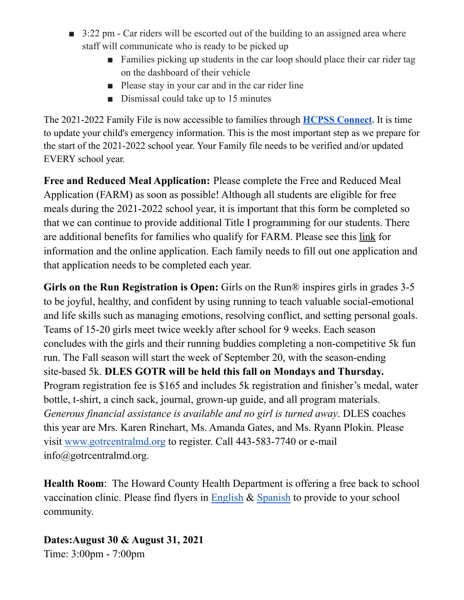- 3:22 pm Car riders will be escorted out of the building to an assigned area where staff will communicate who is ready to be picked up
	- Families picking up students in the car loop should place their car rider tag on the dashboard of their vehicle
	- Please stay in your car and in the car rider line
	- Dismissal could take up to 15 minutes

The 2021-2022 Family File is now accessible to families through **HCPSS [Connect](https://nam10.safelinks.protection.outlook.com/?url=http%3A%2F%2Ftrack.spe.schoolmessenger.com%2Ff%2Fa%2FyBOMc870BcYP59bsez_-XA~~%2FAAAAAQA~%2FRgRi9oUZP4S8CGh0dHBzOi8vbmFtMTAuc2FmZWxpbmtzLnByb3RlY3Rpb24ub3V0bG9vay5jb20vP3VybD1odHRwJTNBJTJGJTJGdHJhY2suc3BlLnNjaG9vbG1lc3Nlbmdlci5jb20lMkZmJTJGYSUyRi00TVVfMmZ4V0FFS0ZIZEtRaGZCcmd-fiUyRkFBQUFBUUF-JTJGUmdSaTdudHlQNFFBQldoMGRIQnpPaTh2Ym1GdE1UQXVjMkZtWld4cGJtdHpMbkJ5YjNSbFkzUnBiMjR1YjNWMGJHOXZheTVqYjIwdlAzVnliRDFvZEhSd0pUTkJKVEpHSlRKR2RISmhZMnN1YzNCbExuTmphRzl2YkcxbGMzTmxibWRsY2k1amIyMGxNa1ptSlRKR1lTVXlSbWMxU1RoMGJHbHhWSEZuU0RoclVuSnlaRmhEU1ZGLWZpVXlSa0ZCUVVGQlVVRi1KVEpHVW1kU2FUZFZjbGxRTkZFd1FXMW9NR1JJUW5wUGFUaDJZbTFHZEUxVVFYVmpNa1p0V2xkNGNHSnRkSHBNYmtKNVlqTlNiRmt6VW5CaU1qUjFZak5XTUdKSE9YWmhlVFZxWWpJd2RsQXpWbmxpUkRGdlpFaFNkMHBVVGtKS1ZFcEhTbFJLUjJSSVNtaFpNbk4xWXpOQ2JFeHVUbXBoUnpsMllrY3hiR016VG14aWJXUnNZMmsxYW1JeU1HeE5hMXB0U2xSS1IxbFRWWGxTYVRGSFlVVk9NbFY2Umt0U1ZrNVJUakZrUTA1SGVFcFpWa0p5Vkc1a0xXWnBWWGxTYTBaQ1VWVkdRbFZWUmkxS1ZFcEhWVzFrVTJGVVpFVlhibVJSVFVaR2JGbFZhRk5OUjA1SlZGUmFUV1ZVYTNwYVJFNXFaRmRHU0ZSdVpHcE5NREV4V1dwT1MySnJkM2xVYmxwcFlsUldjMWRVVGxKa2JGb3pXa2h3V2sxdGFESlpha28wWkVaR2JtTkhhRU5ZTUVaRVVYcEtTVTB3WkhkT01uUldZVVpLVFZkV2FITmlSbWQzVTI1c1lWWjZiREZWVldSdllXMU9TVlJ1Y0UxaVZHdzFWMnBHYmxKVlJrSlJWVVpDVlZnMUxVcHRVbWhrUjBVNVRVUlJiRTR3VFhkTlUxVXpVVEIwYUdWWFZtWlJia3BzWWpJMGJFNUVRbTlaTTBKNlkzazFkbU50WTJ4T01FMDBUVVJTYUZscVVYbE9WRmt4V21wUk1GbHFSWHBhVkZWNFRsUkJORnBFYXpGT2VtaHFXV3BGTUZwVFZUTlJlbXN5V1ZSc2FGbDZVbXBPUkdNeldsUlNhMWxYVW1oTmJVbDVUMGRHYTAweVdtcE9SRmt6VDFSQ2FVcFVaRVJOVTFVelVYcEJiRTR3VFRKTmVtTXlUWHBqZDA5RVVYZE9hbXQ2VFVSQk5FNTZUV3hPTUU1V1ltMTBkV0l6WkhWS1ZHUkVWa1prUjJOSFNraFhiazVwVFRKUk5GcFliRXRXTUd4eFlqSnNUbEY2VWpOVVIzQkNaREF4UlZGWGJFMVJNSEJTVTFkd2RtRldXWGxpU0ZaT1pXdHNjRlJGVGt0UmJGSndVMVJhU21GNlJtOVpWbVF6WVZWNFJGTnNhRmRSTUdzeVZGYzBkMHBVVGtWS1ZHUkVUVlJCZDAxRFducGFSMFl3V1ZReGFGTldTakpqYTBwMVpGWkNiMk5IVm5aalZtUnhWbGhzUmxONlpGUldWM1JIVG1wc1VsRlZVa1ZrTWpRMVQxUlNTVXBVU2tkYWEzaENUakk0YkUwd1VXMWpiVlo2V2xoS01scFhVVGxOUm1OSVl6Sk9iMkl5T1hOaVZVbExXVkYwV1VaM2VHZzFWWGhEV2xaSlVsa3lhR2hoUnpReFRtdENibUpYUm5CaVF6VnFZakl4V1VKQlFVRkJRVVYtSm1SaGRHRTlNRFFsTjBNd01TVTNRMkp5WVc1a2VWOTJZV3hsYm5ScGJtVWxOREJvWTNCemN5NXZjbWNsTjBNME5HRXlZamcxTm1VME5tSTBNV05oWkdNelpqQTRaRGsxT0dVMk1EZzJPU1UzUXprMllUbGhZelJqTkRjM1pUUmtZV1JoTW1JeU9HRmtNMlpqTkRZM09UQmlKVGRETVNVM1F6RWxOME0yTXpjMk16ZzFOamN5TnpjMk56QXlOekVsTjBOVmJtdHViM2R1SlRkRFZGZEdjR0pIV25OaU0yUTRaWGxLVjBscWIybE5RelIzVEdwQmQwMUVRV2xNUTBwUlNXcHZhVll5YkhWTmVrbHBURU5LUWxScFNUWkphekZvWVZkM2FVeERTbGhXUTBrMlRXNHdKVE5FSlRkRE1qQXdNQ1p6WkdGMFlUMUdhV3RZUmxwNmNtTkZjSGhMUzBkVWRURTNhbFZSVUhOa2JtTkdjeVV5UmswbE1rWTVTa3RETW5sclJXWnhkeVV6UkNaeVpYTmxjblpsWkQwd1Z3ZHpZMmh2YjJ4dFFncGhDX0pIRFdIOGZwU2JVaFpDY21GdVpIbGZUWGxsY25OQWFHTndjM011YjNKbldBUUFBQUFCJmRhdGE9MDQlN0MwMSU3Q0JyYW5keV9WYWxlbnRpbmUlNDBoY3Bzcy5vcmclN0MxYzc1NzNkMzA4NTk0ZDA4MTJmNzA4ZDk1OGU3MDAxYyU3Qzk2YTlhYzRjNDc3ZTRkYWRhMmIyOGFkM2ZjNDY3OTBiJTdDMSU3QzAlN0M2Mzc2Mzg1NzE0MzIyNjg1ODIlN0NVbmtub3duJTdDVFdGcGJHWnNiM2Q4ZXlKV0lqb2lNQzR3TGpBd01EQWlMQ0pRSWpvaVYybHVNeklpTENKQlRpSTZJazFoYVd3aUxDSlhWQ0k2TW4wJTNEJTdDMTAwMCZzZGF0YT1OZVBETElEOVZIMmx4ZWlDNUt4MGFiUnVEZlFHVlpadXlYVFhtS1RPT2cwJTNEJnJlc2VydmVkPTBXB3NjaG9vbG1CCmEVmVEVYSqK3x5SFkhlaWRpX2JhbHRlckBoY3Bzcy5vcmdYBAAAAAE~&data=04%7C01%7CHeidi_balter%40hcpss.org%7C0cdf2b3762b04fc4ea6c08d95db173d8%7C96a9ac4c477e4dada2b28ad3fc46790b%7C1%7C0%7C637643839028931663%7CUnknown%7CTWFpbGZsb3d8eyJWIjoiMC4wLjAwMDAiLCJQIjoiV2luMzIiLCJBTiI6Ik1haWwiLCJXVCI6Mn0%3D%7C1000&sdata=8KmbKDoUHW5jBhiRZFO0xv1gnkvFHpB78UrJy2378bM%3D&reserved=0).** It is time to update your child's emergency information. This is the most important step as we prepare for the start of the 2021-2022 school year. Your Family file needs to be verified and/or updated EVERY school year.

**Free and Reduced Meal Application:** Please complete the Free and Reduced Meal Application (FARM) as soon as possible! Although all students are eligible for free meals during the 2021-2022 school year, it is important that this form be completed so that we can continue to provide additional Title I programming for our students. There are additional benefits for families who qualify for FARM. Please see this [link](https://nam10.safelinks.protection.outlook.com/?url=http%3A%2F%2Ftrack.spe.schoolmessenger.com%2Ff%2Fa%2FlJZTl9ZF4EVSMJgWhgMXnA~~%2FAAAAAQA~%2FRgRi_kuRP4RLAmh0dHBzOi8vbmFtMTAuc2FmZWxpbmtzLnByb3RlY3Rpb24ub3V0bG9vay5jb20vP3VybD1odHRwJTNBJTJGJTJGdHJhY2suc3BlLnNjaG9vbG1lc3Nlbmdlci5jb20lMkZmJTJGYSUyRmVnZUVfeDl2eGpWVmVuQ3F3REFmZ3d-fiUyRkFBQUFBUUF-JTJGUmdSaTktS0hQMFFxYUhSMGNITTZMeTkzZDNjdWFHTndjM011YjNKbkwyWnZiMlF0YzJWeWRtbGpaWE12Wm1GeWJYTXZWd2R6WTJodmIyeHRRZ3BoRlFldkZtRXFpbWFqVWhsdGFXTm9aV3hzWlY5c1pXRmtaWEpBYUdOd2MzTXViM0puV0FRQUFBQUImZGF0YT0wNCU3QzAxJTdDbWljaGVsbGVfbGVhZGVyJTQwaGNwc3Mub3JnJTdDODAzZmNjZTBlNDlkNGNiMmQ4MjAwOGQ5NWU4MWJhYmMlN0M5NmE5YWM0YzQ3N2U0ZGFkYTJiMjhhZDNmYzQ2NzkwYiU3QzElN0MwJTdDNjM3NjQ0NzMzNTkxNzU1NjM2JTdDVW5rbm93biU3Q1RXRnBiR1pzYjNkOGV5SldJam9pTUM0d0xqQXdNREFpTENKUUlqb2lWMmx1TXpJaUxDSkJUaUk2SWsxaGFXd2lMQ0pYVkNJNk1uMCUzRCU3QzEwMDAmc2RhdGE9V0VoVlNUenozOVkwa0RUaWVzZDlGU2U0UW9MZG1kSFQ1UkcwbFYwSm9NQSUzRCZyZXNlcnZlZD0wVwdzY2hvb2xtQgphGhEYHWGcS7JeUhZIZWlkaV9iYWx0ZXJAaGNwc3Mub3JnWAQAAAAB&data=04%7C01%7CHeidi_balter%40hcpss.org%7C26ee7332f2284df325bd08d96253dcb9%7C96a9ac4c477e4dada2b28ad3fc46790b%7C1%7C0%7C637648934588904870%7CUnknown%7CTWFpbGZsb3d8eyJWIjoiMC4wLjAwMDAiLCJQIjoiV2luMzIiLCJBTiI6Ik1haWwiLCJXVCI6Mn0%3D%7C1000&sdata=RTzllhnOe20P8EOuizXwDfxXCLfar7FSKoulxK6ITYI%3D&reserved=0) for information and the online application. Each family needs to fill out one application and that application needs to be completed each year.

**Girls on the Run Registration is Open:** Girls on the Run® inspires girls in grades 3-5 to be joyful, healthy, and confident by using running to teach valuable social-emotional and life skills such as managing emotions, resolving conflict, and setting personal goals. Teams of 15-20 girls meet twice weekly after school for 9 weeks. Each season concludes with the girls and their running buddies completing a non-competitive 5k fun run. The Fall season will start the week of September 20, with the season-ending site-based 5k. **DLES GOTR will be held this fall on Mondays and Thursday.** Program registration fee is \$165 and includes 5k registration and finisher's medal, water bottle, t-shirt, a cinch sack, journal, grown-up guide, and all program materials. *Generous financial assistance is available and no girl is turned away*. DLES coaches this year are Mrs. Karen Rinehart, Ms. Amanda Gates, and Ms. Ryann Plokin. Please visit [www.gotrcentralmd.org](https://nam10.safelinks.protection.outlook.com/?url=http%3A%2F%2Fwww.gotrcentralmd.org%2F&data=04%7C01%7CHeidi_Balter%40hcpss.org%7Cf49eb34e4384411e0b5b08d96667426e%7C96a9ac4c477e4dada2b28ad3fc46790b%7C1%7C0%7C637653415938288821%7CUnknown%7CTWFpbGZsb3d8eyJWIjoiMC4wLjAwMDAiLCJQIjoiV2luMzIiLCJBTiI6Ik1haWwiLCJXVCI6Mn0%3D%7C1000&sdata=RFAytbeOFFhc48BL8fSMp8n7bMlNL5M3l2CoCq16rmM%3D&reserved=0) to register. Call 443-583-7740 or e-mail info@gotrcentralmd.org.

**Health Room**: The Howard County Health Department is offering a free back to school vaccination clinic. Please find flyers in [English](https://nam10.safelinks.protection.outlook.com/?url=https%3A%2F%2Fhcpss.instructure.com%2Fcourses%2F9435%2Ffiles%2F35100855%3Fwrap%3D1&data=04%7C01%7CJulie_Forman%40hcpss.org%7C31ad85d527584e8d1cf508d967be3dd1%7C96a9ac4c477e4dada2b28ad3fc46790b%7C1%7C0%7C637654889069259800%7CUnknown%7CTWFpbGZsb3d8eyJWIjoiMC4wLjAwMDAiLCJQIjoiV2luMzIiLCJBTiI6Ik1haWwiLCJXVCI6Mn0%3D%7C1000&sdata=KkI%2Bl5SHHIcYOa9jShVbTXufJms%2BD73qSb4xb9eqoDY%3D&reserved=0) & [Spanish](https://nam10.safelinks.protection.outlook.com/?url=https%3A%2F%2Fhcpss.instructure.com%2Fcourses%2F9435%2Ffiles%2F35100856%3Fwrap%3D1&data=04%7C01%7CJulie_Forman%40hcpss.org%7C31ad85d527584e8d1cf508d967be3dd1%7C96a9ac4c477e4dada2b28ad3fc46790b%7C1%7C0%7C637654889069269794%7CUnknown%7CTWFpbGZsb3d8eyJWIjoiMC4wLjAwMDAiLCJQIjoiV2luMzIiLCJBTiI6Ik1haWwiLCJXVCI6Mn0%3D%7C1000&sdata=%2Fs24v%2FJeV%2ButC4DFqTwJnT6ogdQVH4IkZTulnfYhvPA%3D&reserved=0) to provide to your school community.

**Dates:August 30 & August 31, 2021** Time: 3:00pm - 7:00pm